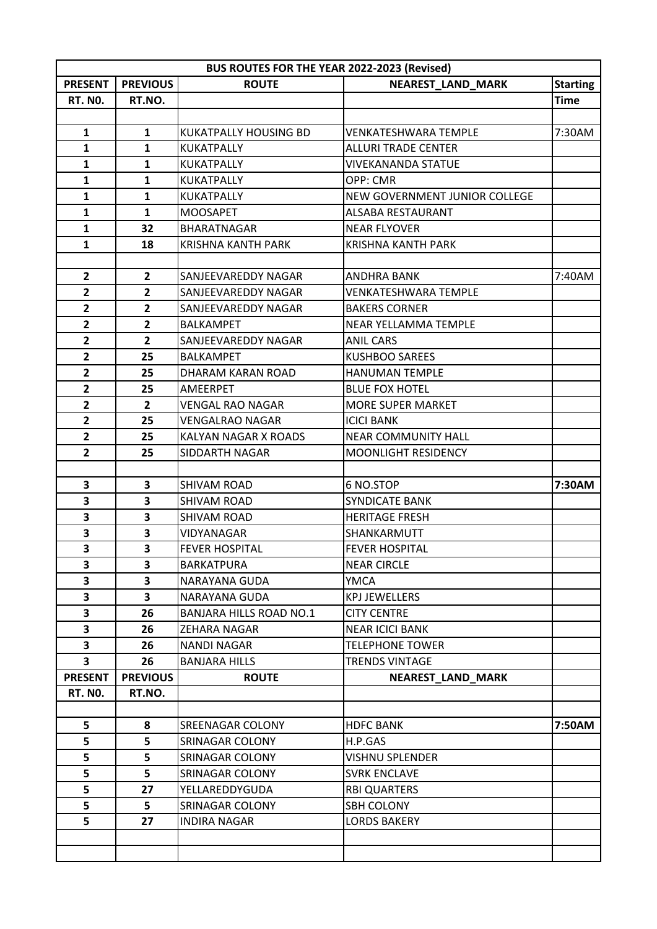| <b>BUS ROUTES FOR THE YEAR 2022-2023 (Revised)</b> |                 |                                    |                                            |                 |  |
|----------------------------------------------------|-----------------|------------------------------------|--------------------------------------------|-----------------|--|
| <b>PRESENT</b>                                     | <b>PREVIOUS</b> | <b>ROUTE</b>                       | <b>NEAREST_LAND_MARK</b>                   | <b>Starting</b> |  |
| <b>RT. NO.</b>                                     | RT.NO.          |                                    |                                            | <b>Time</b>     |  |
|                                                    |                 |                                    |                                            |                 |  |
| $\mathbf{1}$                                       | $\mathbf{1}$    | <b>KUKATPALLY HOUSING BD</b>       | VENKATESHWARA TEMPLE                       | 7:30AM          |  |
| $\mathbf{1}$                                       | $\mathbf{1}$    | <b>KUKATPALLY</b>                  | <b>ALLURI TRADE CENTER</b>                 |                 |  |
| $\mathbf{1}$                                       | 1               | <b>KUKATPALLY</b>                  | <b>VIVEKANANDA STATUE</b>                  |                 |  |
| $\mathbf{1}$                                       | $\mathbf{1}$    | <b>KUKATPALLY</b>                  | OPP: CMR                                   |                 |  |
| $\mathbf{1}$                                       | $\mathbf{1}$    | KUKATPALLY                         | <b>NEW GOVERNMENT JUNIOR COLLEGE</b>       |                 |  |
| $\mathbf{1}$                                       | $\mathbf{1}$    | <b>MOOSAPET</b>                    | ALSABA RESTAURANT                          |                 |  |
| $\mathbf{1}$                                       | 32              | <b>BHARATNAGAR</b>                 | <b>NEAR FLYOVER</b>                        |                 |  |
| $\mathbf{1}$                                       | 18              | <b>KRISHNA KANTH PARK</b>          | <b>KRISHNA KANTH PARK</b>                  |                 |  |
|                                                    |                 |                                    |                                            |                 |  |
| $\mathbf{2}$                                       | $\overline{2}$  | SANJEEVAREDDY NAGAR                | <b>ANDHRA BANK</b>                         | 7:40AM          |  |
| $\overline{2}$                                     | $\mathbf{2}$    | SANJEEVAREDDY NAGAR                | VENKATESHWARA TEMPLE                       |                 |  |
| $\mathbf{2}$                                       | $\overline{2}$  | SANJEEVAREDDY NAGAR                | <b>BAKERS CORNER</b>                       |                 |  |
| $\overline{2}$                                     | $\overline{2}$  | <b>BALKAMPET</b>                   | <b>NEAR YELLAMMA TEMPLE</b>                |                 |  |
| $\overline{2}$                                     | $\overline{2}$  | SANJEEVAREDDY NAGAR                | <b>ANIL CARS</b>                           |                 |  |
| $\overline{2}$                                     | 25              | <b>BALKAMPET</b>                   | <b>KUSHBOO SAREES</b>                      |                 |  |
| $\overline{2}$                                     | 25              | <b>DHARAM KARAN ROAD</b>           | <b>HANUMAN TEMPLE</b>                      |                 |  |
| $\overline{2}$                                     | 25              | AMEERPET                           | <b>BLUE FOX HOTEL</b>                      |                 |  |
| $\mathbf{2}$                                       | $\overline{2}$  | VENGAL RAO NAGAR                   | <b>MORE SUPER MARKET</b>                   |                 |  |
| $\overline{2}$                                     | 25              | <b>VENGALRAO NAGAR</b>             | <b>ICICI BANK</b>                          |                 |  |
| $\overline{2}$                                     | 25              | KALYAN NAGAR X ROADS               | <b>NEAR COMMUNITY HALL</b>                 |                 |  |
| $\overline{2}$                                     | 25              | SIDDARTH NAGAR                     | <b>MOONLIGHT RESIDENCY</b>                 |                 |  |
|                                                    |                 |                                    |                                            |                 |  |
| 3                                                  | 3               | <b>SHIVAM ROAD</b>                 | 6 NO.STOP                                  | 7:30AM          |  |
| 3                                                  | 3               | <b>SHIVAM ROAD</b>                 | <b>SYNDICATE BANK</b>                      |                 |  |
| 3                                                  | 3               | <b>SHIVAM ROAD</b>                 | <b>HERITAGE FRESH</b>                      |                 |  |
| 3                                                  | 3               | VIDYANAGAR                         | SHANKARMUTT                                |                 |  |
| 3                                                  | 3               | <b>FEVER HOSPITAL</b>              | <b>FEVER HOSPITAL</b>                      |                 |  |
| 3                                                  | 3               | <b>BARKATPURA</b>                  | <b>NEAR CIRCLE</b>                         |                 |  |
| 3                                                  | 3               | NARAYANA GUDA                      | <b>YMCA</b>                                |                 |  |
| 3                                                  | 3               | NARAYANA GUDA                      | <b>KPJ JEWELLERS</b>                       |                 |  |
| 3                                                  | 26              | <b>BANJARA HILLS ROAD NO.1</b>     | <b>CITY CENTRE</b>                         |                 |  |
| 3                                                  | 26              | ZEHARA NAGAR                       | <b>NEAR ICICI BANK</b>                     |                 |  |
| 3                                                  | 26              | <b>NANDI NAGAR</b>                 | <b>TELEPHONE TOWER</b>                     |                 |  |
| 3                                                  | 26              | <b>BANJARA HILLS</b>               | <b>TRENDS VINTAGE</b>                      |                 |  |
| <b>PRESENT</b>                                     | <b>PREVIOUS</b> | <b>ROUTE</b>                       | <b>NEAREST LAND MARK</b>                   |                 |  |
| <b>RT. NO.</b>                                     | RT.NO.          |                                    |                                            |                 |  |
|                                                    |                 |                                    |                                            |                 |  |
| 5                                                  | 8               | SREENAGAR COLONY                   | <b>HDFC BANK</b>                           | 7:50AM          |  |
| 5<br>5                                             | 5<br>5          | SRINAGAR COLONY<br>SRINAGAR COLONY | H.P.GAS<br>VISHNU SPLENDER                 |                 |  |
|                                                    |                 |                                    |                                            |                 |  |
| 5<br>5                                             | 5<br>27         | SRINAGAR COLONY<br>YELLAREDDYGUDA  | <b>SVRK ENCLAVE</b><br><b>RBI QUARTERS</b> |                 |  |
| 5                                                  | 5               | SRINAGAR COLONY                    | <b>SBH COLONY</b>                          |                 |  |
| 5                                                  | 27              | <b>INDIRA NAGAR</b>                | <b>LORDS BAKERY</b>                        |                 |  |
|                                                    |                 |                                    |                                            |                 |  |
|                                                    |                 |                                    |                                            |                 |  |
|                                                    |                 |                                    |                                            |                 |  |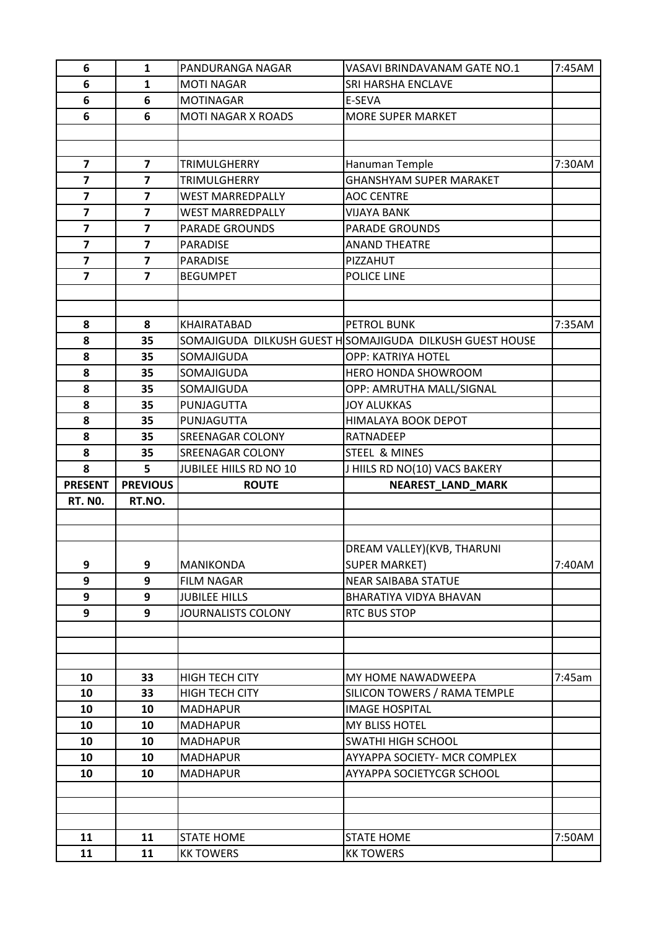| 6                       | 1                       | PANDURANGA NAGAR                      | VASAVI BRINDAVANAM GATE NO.1                             | 7:45AM |
|-------------------------|-------------------------|---------------------------------------|----------------------------------------------------------|--------|
| 6                       | 1                       | <b>MOTI NAGAR</b>                     | SRI HARSHA ENCLAVE                                       |        |
| 6                       | 6                       | <b>MOTINAGAR</b>                      | E-SEVA                                                   |        |
| 6                       | 6                       | <b>MOTI NAGAR X ROADS</b>             | <b>MORE SUPER MARKET</b>                                 |        |
|                         |                         |                                       |                                                          |        |
|                         |                         |                                       |                                                          |        |
| $\overline{\mathbf{z}}$ | $\overline{7}$          | <b>TRIMULGHERRY</b>                   | Hanuman Temple                                           | 7:30AM |
| $\overline{\mathbf{z}}$ | $\overline{\mathbf{z}}$ | TRIMULGHERRY                          | <b>GHANSHYAM SUPER MARAKET</b>                           |        |
| $\overline{\mathbf{z}}$ | $\overline{7}$          | <b>WEST MARREDPALLY</b>               | <b>AOC CENTRE</b>                                        |        |
| $\overline{7}$          | $\overline{7}$          | <b>WEST MARREDPALLY</b>               | VIJAYA BANK                                              |        |
| $\overline{\mathbf{z}}$ | $\overline{\mathbf{z}}$ | <b>PARADE GROUNDS</b>                 | <b>PARADE GROUNDS</b>                                    |        |
| $\overline{\mathbf{z}}$ | $\overline{7}$          | PARADISE                              | <b>ANAND THEATRE</b>                                     |        |
| $\overline{\mathbf{z}}$ | $\overline{\mathbf{z}}$ | <b>PARADISE</b>                       | PIZZAHUT                                                 |        |
| $\overline{\mathbf{z}}$ | $\overline{7}$          | <b>BEGUMPET</b>                       | POLICE LINE                                              |        |
|                         |                         |                                       |                                                          |        |
|                         |                         |                                       |                                                          |        |
| 8                       | 8                       | KHAIRATABAD                           | PETROL BUNK                                              | 7:35AM |
| 8                       | 35                      |                                       | SOMAJIGUDA DILKUSH GUEST HSOMAJIGUDA DILKUSH GUEST HOUSE |        |
| 8                       | 35                      | SOMAJIGUDA                            | OPP: KATRIYA HOTEL                                       |        |
| 8                       | 35                      | SOMAJIGUDA                            | HERO HONDA SHOWROOM                                      |        |
| 8                       | 35                      | SOMAJIGUDA                            | OPP: AMRUTHA MALL/SIGNAL                                 |        |
| 8                       | 35                      | PUNJAGUTTA                            | <b>JOY ALUKKAS</b>                                       |        |
| 8                       | 35                      | PUNJAGUTTA                            | HIMALAYA BOOK DEPOT                                      |        |
| 8                       | 35                      | <b>SREENAGAR COLONY</b>               | <b>RATNADEEP</b>                                         |        |
| 8                       | 35                      | SREENAGAR COLONY                      | STEEL & MINES                                            |        |
|                         |                         |                                       |                                                          |        |
| 8                       | 5                       | JUBILEE HIILS RD NO 10                | J HIILS RD NO(10) VACS BAKERY                            |        |
| <b>PRESENT</b>          | <b>PREVIOUS</b>         | <b>ROUTE</b>                          | <b>NEAREST_LAND_MARK</b>                                 |        |
| <b>RT. NO.</b>          | RT.NO.                  |                                       |                                                          |        |
|                         |                         |                                       |                                                          |        |
|                         |                         |                                       |                                                          |        |
|                         |                         |                                       | DREAM VALLEY)(KVB, THARUNI                               |        |
| 9                       | 9                       | <b>MANIKONDA</b>                      | <b>SUPER MARKET)</b>                                     | 7:40AM |
| 9                       | 9                       | <b>FILM NAGAR</b>                     | <b>NEAR SAIBABA STATUE</b>                               |        |
| 9                       | 9                       | <b>JUBILEE HILLS</b>                  | BHARATIYA VIDYA BHAVAN                                   |        |
| 9                       | 9                       | <b>JOURNALISTS COLONY</b>             | RTC BUS STOP                                             |        |
|                         |                         |                                       |                                                          |        |
|                         |                         |                                       |                                                          |        |
|                         |                         |                                       |                                                          |        |
| 10                      | 33                      | <b>HIGH TECH CITY</b>                 | MY HOME NAWADWEEPA                                       | 7:45am |
| 10                      | 33                      | <b>HIGH TECH CITY</b>                 | SILICON TOWERS / RAMA TEMPLE                             |        |
| 10                      | 10                      | <b>MADHAPUR</b>                       | <b>IMAGE HOSPITAL</b>                                    |        |
| 10                      | 10                      | <b>MADHAPUR</b>                       | MY BLISS HOTEL                                           |        |
| 10                      | 10                      | <b>MADHAPUR</b>                       | <b>SWATHI HIGH SCHOOL</b>                                |        |
| 10                      | 10                      | <b>MADHAPUR</b>                       | AYYAPPA SOCIETY- MCR COMPLEX                             |        |
| 10                      | 10                      | <b>MADHAPUR</b>                       | AYYAPPA SOCIETYCGR SCHOOL                                |        |
|                         |                         |                                       |                                                          |        |
|                         |                         |                                       |                                                          |        |
|                         |                         |                                       |                                                          |        |
| 11<br>11                | 11<br>11                | <b>STATE HOME</b><br><b>KK TOWERS</b> | <b>STATE HOME</b><br><b>KK TOWERS</b>                    | 7:50AM |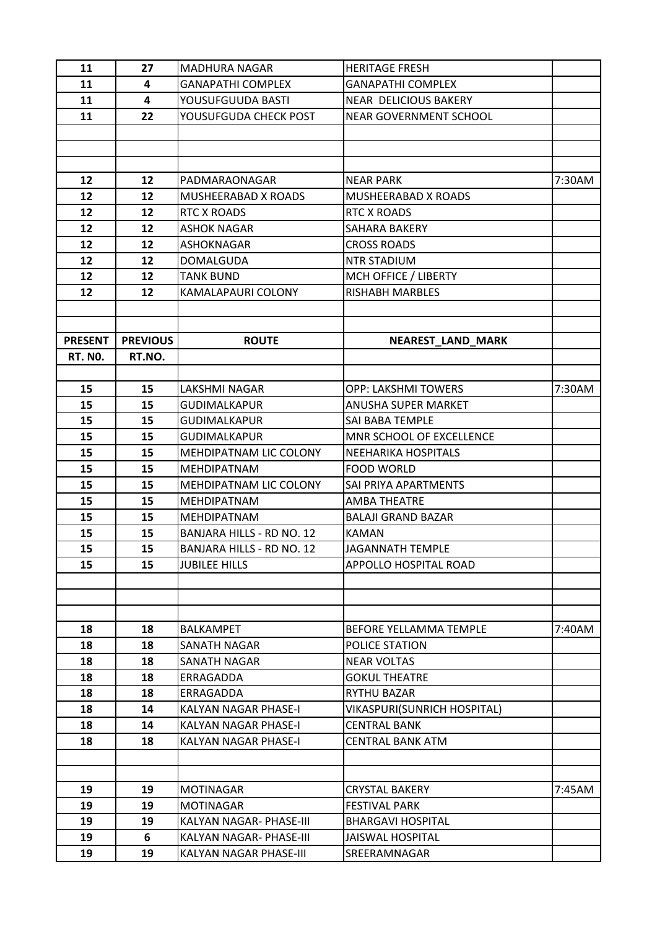| 11             | 27              | <b>MADHURA NAGAR</b>             | <b>HERITAGE FRESH</b>                         |        |
|----------------|-----------------|----------------------------------|-----------------------------------------------|--------|
| 11             | 4               | <b>GANAPATHI COMPLEX</b>         | <b>GANAPATHI COMPLEX</b>                      |        |
| 11             | 4               | YOUSUFGUUDA BASTI                | <b>NEAR DELICIOUS BAKERY</b>                  |        |
| 11             | 22              | YOUSUFGUDA CHECK POST            | <b>NEAR GOVERNMENT SCHOOL</b>                 |        |
|                |                 |                                  |                                               |        |
|                |                 |                                  |                                               |        |
|                |                 |                                  |                                               |        |
| 12             | 12              | PADMARAONAGAR                    | <b>NEAR PARK</b>                              | 7:30AM |
| 12             | 12              | <b>MUSHEERABAD X ROADS</b>       | <b>MUSHEERABAD X ROADS</b>                    |        |
| 12             | 12              | <b>RTC X ROADS</b>               | <b>RTC X ROADS</b>                            |        |
| 12             | 12              | <b>ASHOK NAGAR</b>               | SAHARA BAKERY                                 |        |
| 12             | 12              | ASHOKNAGAR                       | <b>CROSS ROADS</b>                            |        |
| 12             | 12              | <b>DOMALGUDA</b>                 | <b>NTR STADIUM</b>                            |        |
| 12             | 12              | <b>TANK BUND</b>                 | MCH OFFICE / LIBERTY                          |        |
| 12             | 12              | KAMALAPAURI COLONY               | <b>RISHABH MARBLES</b>                        |        |
|                |                 |                                  |                                               |        |
|                |                 |                                  |                                               |        |
| <b>PRESENT</b> | <b>PREVIOUS</b> | <b>ROUTE</b>                     | NEAREST_LAND_MARK                             |        |
| <b>RT. NO.</b> | RT.NO.          |                                  |                                               |        |
|                |                 |                                  |                                               |        |
| 15             | 15              | LAKSHMI NAGAR                    | OPP: LAKSHMI TOWERS                           | 7:30AM |
| 15             | 15              | <b>GUDIMALKAPUR</b>              | ANUSHA SUPER MARKET                           |        |
| 15             | 15              | <b>GUDIMALKAPUR</b>              | SAI BABA TEMPLE                               |        |
| 15             | 15              | <b>GUDIMALKAPUR</b>              | MNR SCHOOL OF EXCELLENCE                      |        |
| 15             | 15              | MEHDIPATNAM LIC COLONY           | <b>NEEHARIKA HOSPITALS</b>                    |        |
| 15             | 15              | <b>MEHDIPATNAM</b>               | <b>FOOD WORLD</b>                             |        |
| 15             | 15              | MEHDIPATNAM LIC COLONY           | SAI PRIYA APARTMENTS                          |        |
| 15             | 15              | <b>MEHDIPATNAM</b>               | AMBA THEATRE                                  |        |
| 15             | 15              | MEHDIPATNAM                      | <b>BALAJI GRAND BAZAR</b>                     |        |
| 15             | 15              | <b>BANJARA HILLS - RD NO. 12</b> | <b>KAMAN</b>                                  |        |
| 15             | 15              | BANJARA HILLS - RD NO. 12        | <b>JAGANNATH TEMPLE</b>                       |        |
| 15             | 15              | <b>JUBILEE HILLS</b>             | APPOLLO HOSPITAL ROAD                         |        |
|                |                 |                                  |                                               |        |
|                |                 |                                  |                                               |        |
|                |                 |                                  |                                               |        |
| 18             | 18              | <b>BALKAMPET</b>                 | BEFORE YELLAMMA TEMPLE                        | 7:40AM |
| 18             | 18              | SANATH NAGAR                     | POLICE STATION                                |        |
| 18             | 18              | SANATH NAGAR                     | <b>NEAR VOLTAS</b>                            |        |
| 18             | 18              | ERRAGADDA                        | <b>GOKUL THEATRE</b>                          |        |
| 18             | 18              | ERRAGADDA                        | <b>RYTHU BAZAR</b>                            |        |
| 18             | 14              | KALYAN NAGAR PHASE-I             | VIKASPURI(SUNRICH HOSPITAL)                   |        |
| 18             | 14              | KALYAN NAGAR PHASE-I             | <b>CENTRAL BANK</b>                           |        |
| 18             | 18              | KALYAN NAGAR PHASE-I             | <b>CENTRAL BANK ATM</b>                       |        |
|                |                 |                                  |                                               |        |
|                |                 |                                  |                                               |        |
|                | 19              | <b>MOTINAGAR</b>                 |                                               |        |
| 19<br>19       | 19              | <b>MOTINAGAR</b>                 | <b>CRYSTAL BAKERY</b><br><b>FESTIVAL PARK</b> | 7:45AM |
|                |                 |                                  | <b>BHARGAVI HOSPITAL</b>                      |        |
| 19             | 19              | KALYAN NAGAR- PHASE-III          |                                               |        |
| 19             | 6               | KALYAN NAGAR- PHASE-III          | <b>JAISWAL HOSPITAL</b>                       |        |
| 19             | 19              | KALYAN NAGAR PHASE-III           | SREERAMNAGAR                                  |        |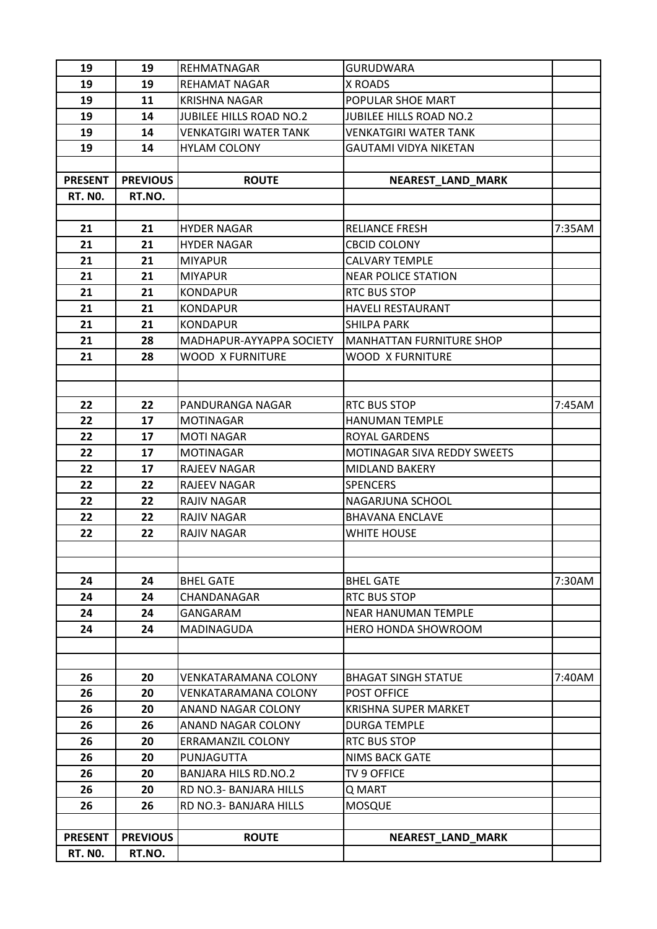| 19             | 19              | <b>REHMATNAGAR</b>             | <b>GURUDWARA</b>                                  |        |
|----------------|-----------------|--------------------------------|---------------------------------------------------|--------|
| 19             | 19              | <b>REHAMAT NAGAR</b>           | X ROADS                                           |        |
| 19             | 11              | <b>KRISHNA NAGAR</b>           | POPULAR SHOE MART                                 |        |
| 19             | 14              | <b>JUBILEE HILLS ROAD NO.2</b> | <b>JUBILEE HILLS ROAD NO.2</b>                    |        |
| 19             | 14              | <b>VENKATGIRI WATER TANK</b>   | VENKATGIRI WATER TANK                             |        |
| 19             | 14              | <b>HYLAM COLONY</b>            | <b>GAUTAMI VIDYA NIKETAN</b>                      |        |
|                |                 |                                |                                                   |        |
| <b>PRESENT</b> | <b>PREVIOUS</b> | <b>ROUTE</b>                   | <b>NEAREST_LAND_MARK</b>                          |        |
| <b>RT. NO.</b> | RT.NO.          |                                |                                                   |        |
|                |                 |                                |                                                   |        |
| 21             | 21              | <b>HYDER NAGAR</b>             | <b>RELIANCE FRESH</b>                             | 7:35AM |
| 21             | 21              | <b>HYDER NAGAR</b>             | <b>CBCID COLONY</b>                               |        |
| 21             | 21              | <b>MIYAPUR</b>                 | <b>CALVARY TEMPLE</b>                             |        |
| 21             | 21              | <b>MIYAPUR</b>                 | <b>NEAR POLICE STATION</b>                        |        |
| 21             | 21              | <b>KONDAPUR</b>                | <b>RTC BUS STOP</b>                               |        |
| 21             | 21              | <b>KONDAPUR</b>                | <b>HAVELI RESTAURANT</b>                          |        |
| 21             | 21              | <b>KONDAPUR</b>                | <b>SHILPA PARK</b>                                |        |
| 21             | 28              | MADHAPUR-AYYAPPA SOCIETY       | <b>MANHATTAN FURNITURE SHOP</b>                   |        |
| 21             | 28              | <b>WOOD X FURNITURE</b>        | WOOD X FURNITURE                                  |        |
|                |                 |                                |                                                   |        |
|                |                 |                                |                                                   |        |
| 22             | 22              | PANDURANGA NAGAR               | <b>RTC BUS STOP</b>                               | 7:45AM |
| 22             | 17              | <b>MOTINAGAR</b>               | <b>HANUMAN TEMPLE</b>                             |        |
| 22             | 17              | <b>MOTI NAGAR</b>              | <b>ROYAL GARDENS</b>                              |        |
| 22             | 17              | <b>MOTINAGAR</b>               | MOTINAGAR SIVA REDDY SWEETS                       |        |
| 22             | 17              | <b>RAJEEV NAGAR</b>            | MIDLAND BAKERY                                    |        |
| 22             | 22              | <b>RAJEEV NAGAR</b>            | <b>SPENCERS</b>                                   |        |
| 22             | 22              | <b>RAJIV NAGAR</b>             | NAGARJUNA SCHOOL                                  |        |
| 22             | 22              | RAJIV NAGAR                    | <b>BHAVANA ENCLAVE</b>                            |        |
| 22             | 22              | <b>RAJIV NAGAR</b>             | <b>WHITE HOUSE</b>                                |        |
|                |                 |                                |                                                   |        |
|                |                 |                                |                                                   |        |
| 24             | 24              | <b>BHEL GATE</b>               | <b>BHEL GATE</b>                                  | 7:30AM |
| 24             | 24              | CHANDANAGAR                    | <b>RTC BUS STOP</b>                               |        |
| 24             | 24              | GANGARAM<br><b>MADINAGUDA</b>  | <b>NEAR HANUMAN TEMPLE</b><br>HERO HONDA SHOWROOM |        |
| 24             | 24              |                                |                                                   |        |
|                |                 |                                |                                                   |        |
| 26             | 20              | <b>VENKATARAMANA COLONY</b>    | <b>BHAGAT SINGH STATUE</b>                        | 7:40AM |
| 26             | 20              | <b>VENKATARAMANA COLONY</b>    | POST OFFICE                                       |        |
| 26             | 20              | ANAND NAGAR COLONY             | <b>KRISHNA SUPER MARKET</b>                       |        |
| 26             | 26              | ANAND NAGAR COLONY             | <b>DURGA TEMPLE</b>                               |        |
| 26             | 20              | <b>ERRAMANZIL COLONY</b>       | <b>RTC BUS STOP</b>                               |        |
| 26             | 20              | PUNJAGUTTA                     | <b>NIMS BACK GATE</b>                             |        |
| 26             | 20              | <b>BANJARA HILS RD.NO.2</b>    | TV 9 OFFICE                                       |        |
| 26             | 20              | RD NO.3- BANJARA HILLS         | Q MART                                            |        |
| 26             | 26              | RD NO.3- BANJARA HILLS         | <b>MOSQUE</b>                                     |        |
|                |                 |                                |                                                   |        |
| <b>PRESENT</b> | <b>PREVIOUS</b> | <b>ROUTE</b>                   | <b>NEAREST_LAND_MARK</b>                          |        |
| <b>RT. NO.</b> | RT.NO.          |                                |                                                   |        |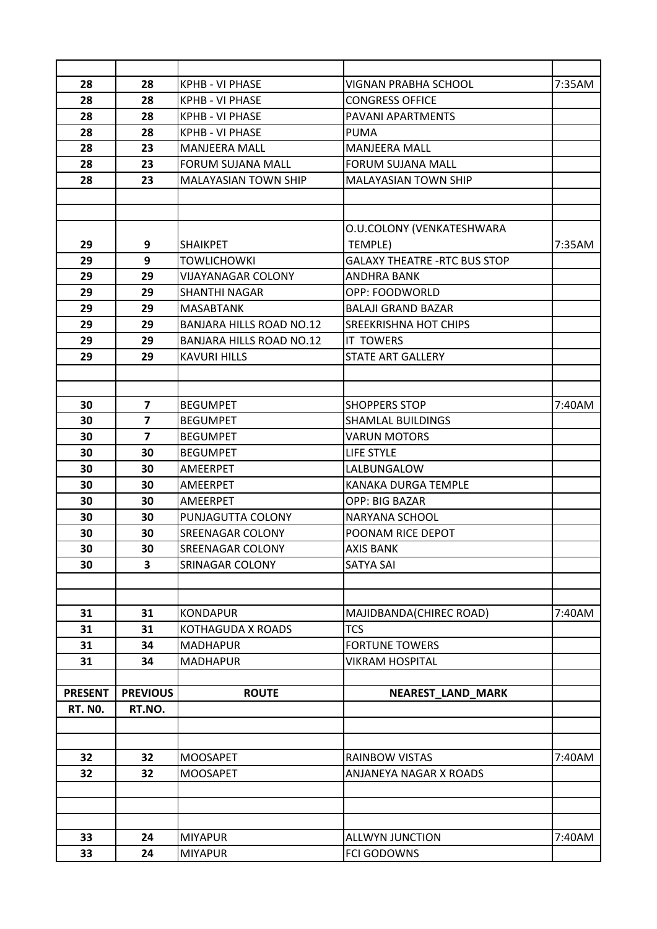| 28             | 28                      | <b>KPHB - VI PHASE</b>          | <b>VIGNAN PRABHA SCHOOL</b>         | 7:35AM |
|----------------|-------------------------|---------------------------------|-------------------------------------|--------|
| 28             | 28                      | <b>KPHB - VI PHASE</b>          | <b>CONGRESS OFFICE</b>              |        |
| 28             | 28                      | <b>KPHB - VI PHASE</b>          | PAVANI APARTMENTS                   |        |
| 28             | 28                      | <b>KPHB - VI PHASE</b>          | <b>PUMA</b>                         |        |
| 28             | 23                      | <b>MANJEERA MALL</b>            | <b>MANJEERA MALL</b>                |        |
| 28             | 23                      | <b>FORUM SUJANA MALL</b>        | <b>FORUM SUJANA MALL</b>            |        |
| 28             | 23                      | <b>MALAYASIAN TOWN SHIP</b>     | MALAYASIAN TOWN SHIP                |        |
|                |                         |                                 |                                     |        |
|                |                         |                                 |                                     |        |
|                |                         |                                 | O.U.COLONY (VENKATESHWARA           |        |
| 29             | 9                       | <b>SHAIKPET</b>                 | TEMPLE)                             | 7:35AM |
| 29             | 9                       | <b>TOWLICHOWKI</b>              | <b>GALAXY THEATRE -RTC BUS STOP</b> |        |
| 29             | 29                      | <b>VIJAYANAGAR COLONY</b>       | <b>ANDHRA BANK</b>                  |        |
| 29             | 29                      | <b>SHANTHI NAGAR</b>            | OPP: FOODWORLD                      |        |
| 29             | 29                      | <b>MASABTANK</b>                | <b>BALAJI GRAND BAZAR</b>           |        |
| 29             | 29                      | <b>BANJARA HILLS ROAD NO.12</b> | <b>SREEKRISHNA HOT CHIPS</b>        |        |
| 29             | 29                      | <b>BANJARA HILLS ROAD NO.12</b> | <b>IT TOWERS</b>                    |        |
| 29             | 29                      | <b>KAVURI HILLS</b>             | <b>STATE ART GALLERY</b>            |        |
|                |                         |                                 |                                     |        |
|                |                         |                                 |                                     |        |
| 30             | 7                       | <b>BEGUMPET</b>                 | <b>SHOPPERS STOP</b>                | 7:40AM |
| 30             | $\overline{\mathbf{z}}$ | <b>BEGUMPET</b>                 | <b>SHAMLAL BUILDINGS</b>            |        |
| 30             | $\overline{7}$          | <b>BEGUMPET</b>                 | <b>VARUN MOTORS</b>                 |        |
| 30             | 30                      | <b>BEGUMPET</b>                 | LIFE STYLE                          |        |
| 30             | 30                      | AMEERPET                        | LALBUNGALOW                         |        |
| 30             | 30                      | AMEERPET                        | <b>KANAKA DURGA TEMPLE</b>          |        |
| 30             | 30                      | AMEERPET                        | <b>OPP: BIG BAZAR</b>               |        |
| 30             | 30                      | PUNJAGUTTA COLONY               | NARYANA SCHOOL                      |        |
| 30             | 30                      | <b>SREENAGAR COLONY</b>         | POONAM RICE DEPOT                   |        |
| 30             | 30                      | <b>SREENAGAR COLONY</b>         | <b>AXIS BANK</b>                    |        |
| 30             | 3                       | SRINAGAR COLONY                 | <b>SATYA SAI</b>                    |        |
|                |                         |                                 |                                     |        |
|                |                         |                                 |                                     |        |
| 31             | 31                      | <b>KONDAPUR</b>                 | MAJIDBANDA(CHIREC ROAD)             | 7:40AM |
| 31             | 31                      | KOTHAGUDA X ROADS               | <b>TCS</b>                          |        |
| 31             | 34                      | <b>MADHAPUR</b>                 | <b>FORTUNE TOWERS</b>               |        |
| 31             | 34                      | <b>MADHAPUR</b>                 | <b>VIKRAM HOSPITAL</b>              |        |
|                |                         |                                 |                                     |        |
| <b>PRESENT</b> | <b>PREVIOUS</b>         | <b>ROUTE</b>                    | NEAREST_LAND_MARK                   |        |
| <b>RT. NO.</b> | RT.NO.                  |                                 |                                     |        |
|                |                         |                                 |                                     |        |
|                |                         |                                 |                                     |        |
| 32             | 32                      | <b>MOOSAPET</b>                 | <b>RAINBOW VISTAS</b>               | 7:40AM |
| 32             | 32                      | <b>MOOSAPET</b>                 | ANJANEYA NAGAR X ROADS              |        |
|                |                         |                                 |                                     |        |
|                |                         |                                 |                                     |        |
| 33             | 24                      | <b>MIYAPUR</b>                  | <b>ALLWYN JUNCTION</b>              | 7:40AM |
| 33             | 24                      | <b>MIYAPUR</b>                  | FCI GODOWNS                         |        |
|                |                         |                                 |                                     |        |